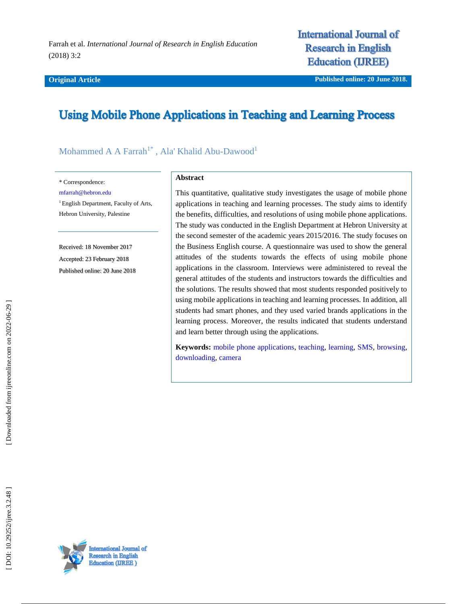#### **Original Article**

# **International Journal of Research in English Education (IREE)**

**iginal Article Published online : 20 June 2018.**

# **Using Mobile Phone Applications in Teaching and Learning Process**

# Mohammed A A Farrah<sup>1\*</sup>, Ala' Khalid Abu-Dawood<sup>1</sup>

\* Correspondence:

[mfarrah@hebron.edu](mailto:mfarrah@hebron.edu)

<sup>1</sup> English Department, Faculty of Arts, Hebron University, Palestine

Received: 18 November 201 7 Accepted: 2 3 February 201 8 Published online : 20 June 2018

#### **Abstract**

This quantitative, qualitative study investigates the usage of mobile phone applications in teaching and learning processes. The study aims to identify the benefits, difficulties, and resolutions of using mobile phone applications. The study was conducted in the English Department at Hebron University at the second semester of the academic years 2015/2016. The study focuses on the Business English course. A questionnaire was used to show the general attitudes of the students towards the effects of using mobile phone applications in the classroom. Interviews were administered to reveal the general attitudes of the students and instructors towards the difficulties and the solutions. The results showed that most students responded positively to using mobile applications in teaching and learning processes. In addition, all students had smart phones, and they used varied brands applications in the learning process. Moreover, the results indicated that students understand and learn better through using the applications.

**Keywords:** [mobile phone applications,](http://ijreeonline.com/search.php?sid=1&slc_lang=en&key=mobile+phone+applications) [teaching,](http://ijreeonline.com/search.php?sid=1&slc_lang=en&key=teaching) [learning,](http://ijreeonline.com/search.php?sid=1&slc_lang=en&key=learning) [SMS,](http://ijreeonline.com/search.php?sid=1&slc_lang=en&key=SMS) [browsing,](http://ijreeonline.com/search.php?sid=1&slc_lang=en&key=browsing) [downloading,](http://ijreeonline.com/search.php?sid=1&slc_lang=en&key=downloading) [camera](http://ijreeonline.com/search.php?sid=1&slc_lang=en&key=camera)

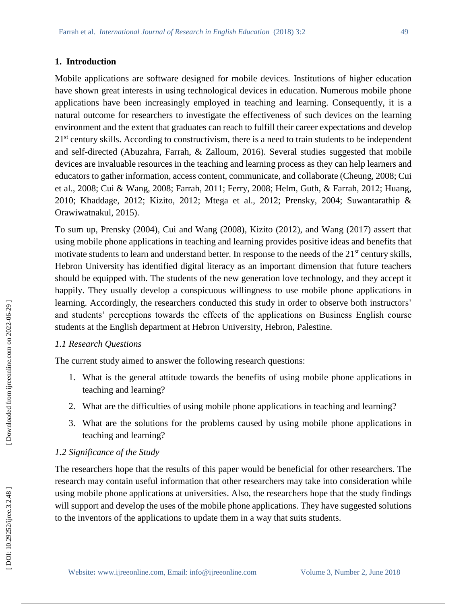#### **1. Introduction**

Mobile applications are software designed for mobile devices. Institutions of higher education have shown great interests in using technological devices in education. Numerous mobile phone applications have been increasingly employed in teaching and learning. Consequently, it is a natural outcome for researchers to investigate the effectiveness of such devices on the learning environment and the extent that graduates can reach to fulfill their career expectations and develop 21<sup>st</sup> century skills. According to constructivism, there is a need to train students to be independent and self-directed (Abuzahra, Farrah, & Zalloum, 2016). Several studies suggested that mobile devices are invaluable resources in the teaching and learning process as they can help learners and educators to gather information, access content, communicate, and collaborate (Cheung, 2008; Cui et al., 2008; Cui & Wang, 2008; Farrah, 2011; Ferry, 2008; Helm, Guth, & Farrah, 2012; Huang, 2010; Khaddage, 2012; Kizito, 2012; Mtega et al., 2012; Prensky, 2004; Suwantarathip & Orawiwatnakul, 2015).

To sum up, Prensky (2004), Cui and Wang (2008), Kizito (2012), and Wang (2017) assert that using mobile phone applications in teaching and learning provides positive ideas and benefits that motivate students to learn and understand better. In response to the needs of the 21<sup>st</sup> century skills, Hebron University has identified digital literacy as an important dimension that future teachers should be equipped with. The students of the new generation love technology, and they accept it happily. They usually develop a conspicuous willingness to use mobile phone applications in learning. Accordingly, the researchers conducted this study in order to observe both instructors' and students' perceptions towards the effects of the applications on Business English course students at the English department at Hebron University, Hebron, Palestine.

# *1.1 Research Questions*

The current study aimed to answer the following research questions:

- 1. What is the general attitude towards the benefits of using mobile phone applications in teaching and learning?
- 2 . What are the difficulties of using mobile phone applications in teaching and learning?
- 3 . What are the solutions for the problems caused by using mobile phone applications in teaching and learning?

## *1.2 Significance of the Study*

The researchers hope that the results of this paper would be beneficial for other researchers. The research may contain useful information that other researchers may take into consideration while using mobile phone applications at universities. Also, the researchers hope that the study findings will support and develop the uses of the mobile phone applications. They have suggested solutions to the inventors of the applications to update them in a way that suits students.

Downloaded from ijreeonline.com on 2022-06-29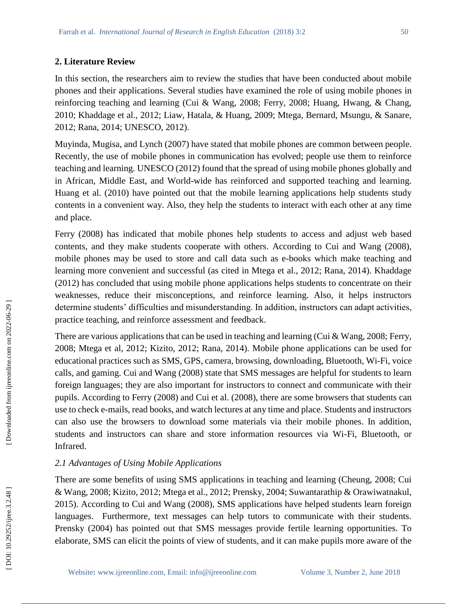#### **2. Literature Review**

In this section, the researchers aim to review the studies that have been conducted about mobile phones and their applications. Several studies have examined the role of using mobile phones in reinforcing teaching and learning (Cui & Wang, 2008; Ferry, 2008; Huang, Hwang, & Chang, 2010; Khaddage et al., 2012; Liaw, Hatala, & Huang, 2009; Mtega, Bernard, Msungu, & Sanare, 2012; Rana, 2014; UNESCO, 2012).

Muyinda, Mugisa, and Lynch (2007) have stated that mobile phones are common between people. Recently, the use of mobile phones in communication has evolved; people use them to reinforce teaching and learning. UNESCO (2012) found that the spread of using mobile phones globally and in African, Middle East, and World -wide has reinforced and supported teaching and learning. Huang et al. (2010) have pointed out that the mobile learning applications help students study contents in a convenient way. Also, they help the students to interact with each other at any time and place.

Ferry (2008) has indicated that mobile phones help students to access and adjust web based contents, and they make students cooperate with others. According to Cui and Wang (2008), mobile phones may be used to store and call data such as e -books which make teaching and learning more convenient and successful (as cited in Mtega et al., 2012; Rana, 2014). Khaddage (2012) has concluded that using mobile phone applications helps students to concentrate on their weaknesses, reduce their misconceptions, and reinforce learning. Also, it helps instructors determine students' difficulties and misunderstanding. In addition, instructors can adapt activities, practice teaching, and reinforce assessment and feedback.

There are various applications that can be used in teaching and learning (Cui & Wang, 2008; Ferry, 2008; Mtega et al, 2012; Kizito, 2012; Rana, 2014). Mobile phone applications can be used for educational practices such as SMS, GPS, camera, browsing, downloading, Bluetooth, Wi -Fi, voice calls, and gaming. Cui and Wang (2008) state that SMS messages are helpful for students to learn foreign languages; they are also important for instructors to connect and communicate with their pupils. According to Ferry (2008) and Cui et al. (2008), there are some browsers that students can use to check e -mails, read books, and watch lectures at any time and place. Students and instructors can also use the browsers to download some materials via their mobile phones. In addition, students and instructors can share and store information resources via Wi -Fi, Bluetooth, or Infrared.

## *2.1 Advantages of Using Mobile Applications*

There are some benefits of using SMS applications in teaching and learning (Cheung, 2008; Cui & Wang, 2008; Kizito, 2012; Mtega et al., 2012; Prensky, 2004; Suwantarathip & Orawiwatnakul, 2015). According to Cui and Wang (2008), SMS applications have helped students learn foreign languages. Furthermore, text messages can help tutors to communicate with their students. Prensky (2004) has pointed out that SMS messages provide fertile learning opportunities. To elaborate, SMS can elicit the points of view of students, and it can make pupils more aware of the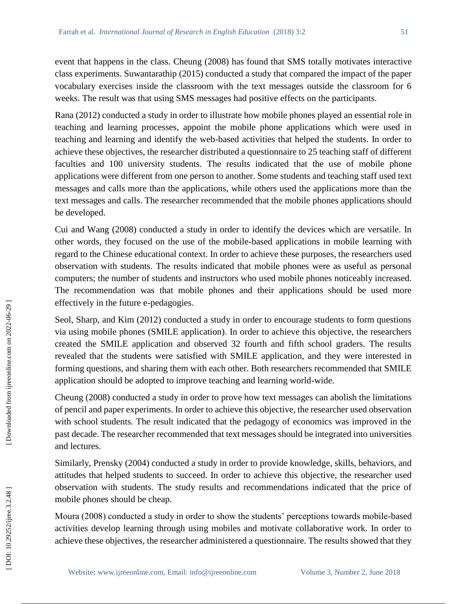event that happens in the class. Cheung (2008) has found that SMS totally motivates interactive class experiments. Suwantarathip (2015) conducted a study that compared the impact of the paper vocabulary exercises inside the classroom with the text messages outside the classroom for 6 weeks. The result was that using SMS messages had positive effects on the participants.

Rana (2012) conducted a study in order to illustrate how mobile phones played an essential role in teaching and learning processes, appoint the mobile phone applications which were used in teaching and learning and identify the web -based activities that helped the students. In order to achieve these objectives, the researcher distributed a questionnaire to 25 teaching staff of different faculties and 100 university students. The results indicated that the use of mobile phone applications were different from one person to another. Some students and teaching staff used text messages and calls more than the applications, while others used the applications more than the text messages and calls. The researcher recommended that the mobile phones applications should be developed.

Cui and Wang (2008) conducted a study in order to identify the devices which are versatile. In other words, they focused on the use of the mobile -based applications in mobile learning with regard to the Chinese educational context. In order to achieve these purposes, the researchers used observation with students. The results indicated that mobile phones were as useful as personal computers; the number of students and instructors who used mobile phones noticeably increased. The recommendation was that mobile phones and their applications should be used more effectively in the future e -pedagogies.

Seol, Sharp, and Kim (2012) conducted a study in order to encourage students to form questions via using mobile phones (SMILE application). In order to achieve this objective, the researchers created the SMILE application and observed 32 fourth and fifth school graders. The results revealed that the students were satisfied with SMILE application, and they were interested in forming questions, and sharing them with each other. Both researchers recommended that SMILE application should be adopted to improve teaching and learning world-wide.

Cheung (2008) conducted a study in order to prove how text messages can abolish the limitations of pencil and paper experiments. In order to achieve this objective, the researcher used observation with school students. The result indicated that the pedagogy of economics was improved in the past decade. The researcher recommended that text messages should be integrated into universities and lectures.

Similarly, Prensky (2004) conducted a study in order to provide knowledge, skills, behaviors, and attitudes that helped students to succeed. In order to achieve this objective, the researcher used observation with students. The study results and recommendations indicated that the price of mobile phones should be cheap.

Moura (2008) conducted a study in order to show the students' perceptions towards mobile -based activities develop learning through using mobiles and motivate collaborative work. In order to achieve these objectives, the researcher administered a questionnaire. The results showed that they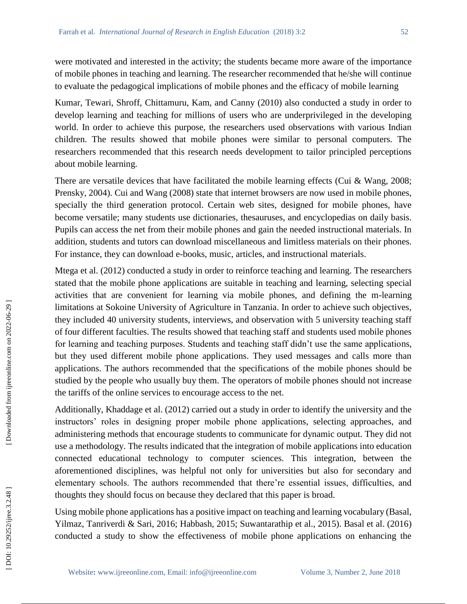were motivated and interested in the activity; the students became more aware of the importance of mobile phones in teaching and learning. The researcher recommended that he/she will continue to evaluate the pedagogical implications of mobile phones and the efficacy of mobile learning

Kumar, Tewari, Shroff, Chittamuru, Kam, and Canny (2010) also conducted a study in order to develop learning and teaching for millions of users who are underprivileged in the developing world. In order to achieve this purpose, the researchers used observations with various Indian children. The results showed that mobile phones were similar to personal computers. The researchers recommended that this research needs development to tailor principled perceptions about mobile learning.

There are versatile devices that have facilitated the mobile learning effects (Cui & Wang, 2008; Prensky, 2004). Cui and Wang (2008) state that internet browsers are now used in mobile phones, specially the third generation protocol. Certain web sites, designed for mobile phones, have become versatile; many students use dictionaries, thesauruses, and encyclopedias on daily basis. Pupils can access the net from their mobile phones and gain the needed instructional materials. In addition, students and tutors can download miscellaneous and limitless materials on their phones. For instance, they can download e-books, music, articles, and instructional materials.

Mtega et al. (2012) conducted a study in order to reinforce teaching and learning. The researchers stated that the mobile phone applications are suitable in teaching and learning, selecting special activities that are convenient for learning via mobile phones, and defining the m -learning limitations at Sokoine University of Agriculture in Tanzania. In order to achieve such objectives, they included 40 university students, interviews, and observation with 5 university teaching staff of four different faculties. The results showed that teaching staff and students used mobile phones for learning and teaching purposes. Students and teaching staff didn't use the same applications, but they used different mobile phone applications. They used messages and calls more than applications. The authors recommended that the specifications of the mobile phones should be studied by the people who usually buy them. The operators of mobile phones should not increase the tariffs of the online services to encourage access to the net.

Additionally, Khaddage et al. (2012) carried out a study in order to identify the university and the instructors' roles in designing proper mobile phone applications, selecting approaches, and administering methods that encourage students to communicate for dynamic output. They did not use a methodology. The results indicated that the integration of mobile applications into education connected educational technology to computer sciences. This integration, between the aforementioned disciplines, was helpful not only for universities but also for secondary and elementary schools. The authors recommended that there're essential issues, difficulties, and thoughts they should focus on because they declared that this paper is broad.

Using mobile phone applications has a positive impact on teaching and learning vocabulary (Basal, Yilmaz, Tanriverdi & Sari, 2016; Habbash, 2015; Suwantarathip et al., 2015). Basal et al. (2016) conducted a study to show the effectiveness of mobile phone applications on enhancing the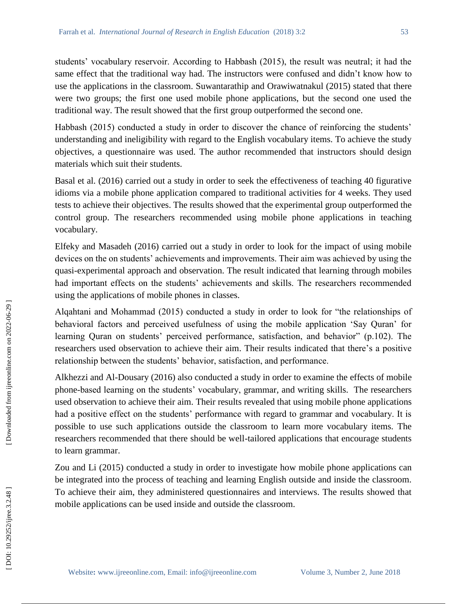students' vocabulary reservoir. According to Habbash (2015), the result was neutral; it had the same effect that the traditional way had. The instructors were confused and didn't know how to use the applications in the classroom. Suwantarathip and Orawiwatnakul (2015) stated that there were two groups; the first one used mobile phone applications, but the second one used the traditional way. The result showed that the first group outperformed the second one.

Habbash (2015) conducted a study in order to discover the chance of reinforcing the students' understanding and ineligibility with regard to the English vocabulary items. To achieve the study objectives, a questionnaire was used. The author recommended that instructors should design materials which suit their students.

Basal et al. (2016) carried out a study in order to seek the effectiveness of teaching 40 figurative idioms via a mobile phone application compared to traditional activities for 4 weeks. They used tests to achieve their objectives. The results showed that the experimental group outperformed the control group. The researchers recommended using mobile phone applications in teaching vocabulary.

Elfeky and Masadeh (2016) carried out a study in order to look for the impact of using mobile devices on the on students' achievements and improvements. Their aim was achieved by using the quasi -experimental approach and observation. The result indicated that learning through mobiles had important effects on the students' achievements and skills. The researchers recommended using the applications of mobile phones in classes.

Alqahtani and Mohammad (2015) conducted a study in order to look for "the relationships of behavioral factors and perceived usefulness of using the mobile application 'Say Quran' for learning Quran on students' perceived performance, satisfaction, and behavior" (p.102). The researchers used observation to achieve their aim. Their results indicated that there's a positive relationship between the students' behavior, satisfaction, and performance.

Alkhezzi and Al -Dousary (2016) also conducted a study in order to examine the effects of mobile phone -based learning on the students' vocabulary, grammar, and writing skills. The researchers used observation to achieve their aim. Their results revealed that using mobile phone applications had a positive effect on the students' performance with regard to grammar and vocabulary. It is possible to use such applications outside the classroom to learn more vocabulary items. The researchers recommended that there should be well -tailored applications that encourage students to learn grammar.

Zou and Li (2015) conducted a study in order to investigate how mobile phone applications can be integrated into the process of teaching and learning English outside and inside the classroom. To achieve their aim, they administered questionnaires and interviews. The results showed that mobile applications can be used inside and outside the classroom.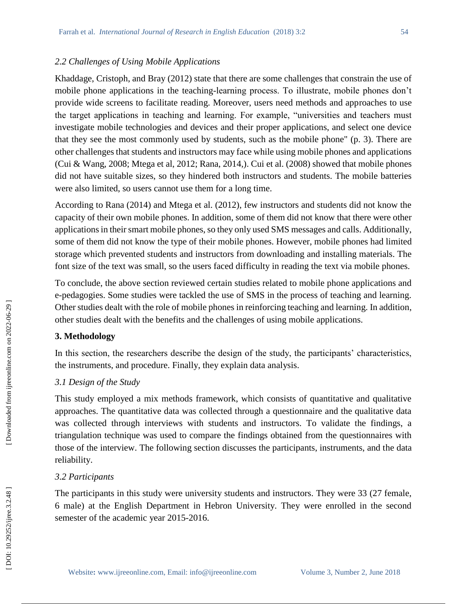### *2.2 Challenges of Using Mobile Applications*

Khaddage, Cristoph, and Bray (2012) state that there are some challenges that constrain the use of mobile phone applications in the teaching -learning process. To illustrate, mobile phones don't provide wide screens to facilitate reading. Moreover, users need methods and approaches to use the target applications in teaching and learning. For example, "universities and teachers must investigate mobile technologies and devices and their proper applications, and select one device that they see the most commonly used by students, such as the mobile phone" (p. 3). There are other challenges that students and instructors may face while using mobile phones and applications (Cui & Wang, 2008; Mtega et al, 2012; Rana, 2014,). Cui et al. (2008) showed that mobile phones did not have suitable sizes, so they hindered both instructors and students. The mobile batteries were also limited, so users cannot use them for a long time.

According to Rana (2014) and Mtega et al. (2012), few instructors and students did not know the capacity of their own mobile phones. In addition, some of them did not know that there were other applications in their smart mobile phones, so they only used SMS messages and calls. Additionally, some of them did not know the type of their mobile phones. However, mobile phones had limited storage which prevented students and instructors from downloading and installing materials. The font size of the text was small, so the users faced difficulty in reading the text via mobile phones.

To conclude, the above section reviewed certain studies related to mobile phone applications and e-pedagogies. Some studies were tackled the use of SMS in the process of teaching and learning. Other studies dealt with the role of mobile phones in reinforcing teaching and learning. In addition, other studies dealt with the benefits and the challenges of using mobile applications.

## **3. Methodology**

In this section, the researchers describe the design of the study, the participants' characteristics, the instruments, and procedure. Finally, they explain data analysis.

## *3.1 Design of the Study*

This study employed a mix methods framework, which consists of quantitative and qualitative approaches. The quantitative data was collected through a questionnaire and the qualitative data was collected through interviews with students and instructors. To validate the findings, a triangulation technique was used to compare the findings obtained from the questionnaires with those of the interview. The following section discusses the participants, instruments, and the data reliability.

#### *3.2 Participants*

The participants in this study were university students and instructors. They were 33 (27 female, 6 male) at the English Department in Hebron University. They were enrolled in the second semester of the academic year 2015 -2016.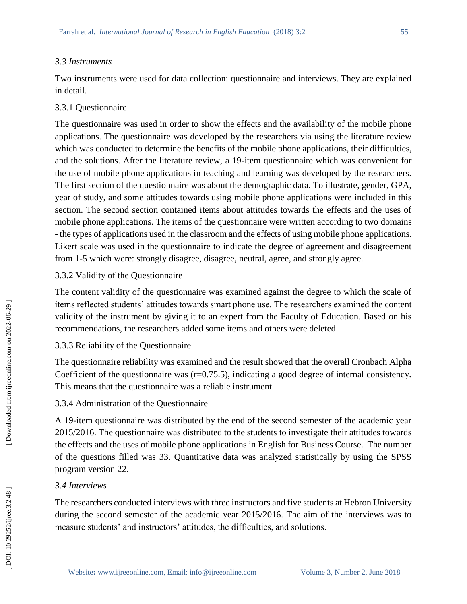#### *3.3 Instruments*

Two instruments were used for data collection: questionnaire and interviews. They are explained in detail.

#### 3.3.1 Questionnaire

The questionnaire was used in order to show the effects and the availability of the mobile phone applications. The questionnaire was developed by the researchers via using the literature review which was conducted to determine the benefits of the mobile phone applications, their difficulties, and the solutions. After the literature review, a 19 -item questionnaire which was convenient for the use of mobile phone applications in teaching and learning was developed by the researchers. The first section of the questionnaire was about the demographic data. To illustrate, gender, GPA, year of study, and some attitudes towards using mobile phone applications were included in this section. The second section contained items about attitudes towards the effects and the uses of mobile phone applications. The items of the questionnaire were written according to two domains **-** the types of applications used in the classroom and the effects of using mobile phone applications. Likert scale was used in the questionnaire to indicate the degree of agreement and disagreement from 1 -5 which were: strongly disagree, disagree, neutral, agree, and strongly agree.

#### 3.3.2 Validity of the Questionnaire

The content validity of the questionnaire was examined against the degree to which the scale of items reflected students' attitudes towards smart phone use. The researchers examined the content validity of the instrument by giving it to an expert from the Faculty of Education. Based on his recommendations, the researchers added some items and others were deleted.

# 3.3.3 Reliability of the Questionnaire

The questionnaire reliability was examined and the result showed that the overall Cronbach Alpha Coefficient of the questionnaire was (r=0.75.5), indicating a good degree of internal consistency. This means that the questionnaire was a reliable instrument.

### 3.3.4 Administration of the Questionnaire

A 19 -item questionnaire was distributed by the end of the second semester of the academic year 2015/2016. The questionnaire was distributed to the students to investigate their attitudes towards the effects and the uses of mobile phone applications in English for Business Course. The number of the questions filled was 33. Quantitative data was analyzed statistically by using the SPSS program version 22.

### *3.4 Interviews*

The researchers conducted interviews with three instructors and five students at Hebron University during the second semester of the academic year 2015/2016. The aim of the interviews was to measure students' and instructors' attitudes, the difficulties, and solutions.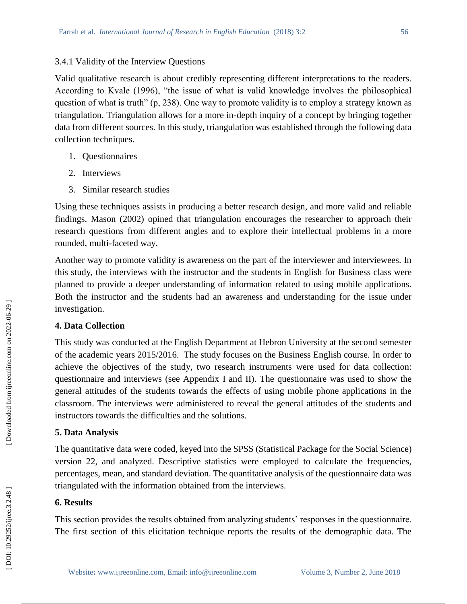# 3.4.1 Validity of the Interview Questions

Valid qualitative research is about credibly representing different interpretations to the readers. According to Kvale (1996), "the issue of what is valid knowledge involves the philosophical question of what is truth" (p, 238). One way to promote validity is to employ a strategy known as triangulation. Triangulation allows for a more in -depth inquiry of a concept by bringing together data from different sources. In this study, triangulation was established through the following data collection techniques.

- 1. Questionnaires
- 2. Interviews
- 3. Similar research studies

Using these techniques assists in producing a better research design, and more valid and reliable findings. Mason (2002) opined that triangulation encourages the researcher to approach their research questions from different angles and to explore their intellectual problems in a more rounded, multi -faceted way.

Another way to promote validity is awareness on the part of the interviewer and interviewees. In this study, the interviews with the instructor and the students in English for Business class were planned to provide a deeper understanding of information related to using mobile applications. Both the instructor and the students had an awareness and understanding for the issue under investigation.

# **4. Data Collection**

This study was conducted at the English Department at Hebron University at the second semester of the academic years 2015/2016. The study focuses on the Business English course. In order to achieve the objectives of the study, two research instruments were used for data collection: questionnaire and interviews (see Appendix I and II). The questionnaire was used to show the general attitudes of the students towards the effects of using mobile phone applications in the classroom. The interviews were administered to reveal the general attitudes of the students and instructors towards the difficulties and the solutions.

# **5. Data Analysis**

The quantitative data were coded, keyed into the SPSS (Statistical Package for the Social Science) version 22, and analyzed. Descriptive statistics were employed to calculate the frequencies, percentages, mean, and standard deviation. The quantitative analysis of the questionnaire data was triangulated with the information obtained from the interviews.

# **6. Results**

This section provides the results obtained from analyzing students' responses in the questionnaire. The first section of this elicitation technique reports the results of the demographic data. The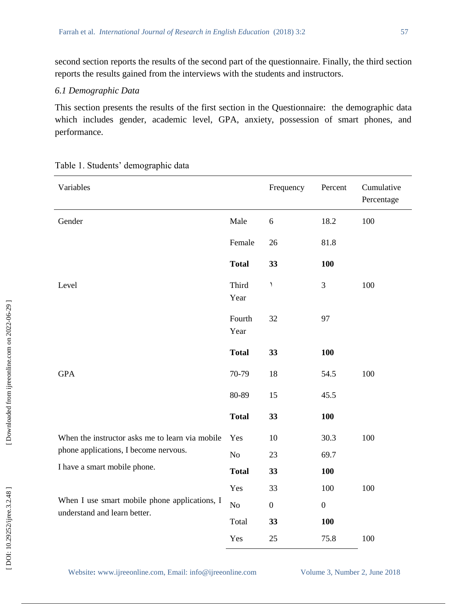second section reports the results of the second part of the questionnaire. Finally, the third section reports the results gained from the interviews with the students and instructors.

## *6.1 Demographic Data*

This section presents the results of the first section in the Questionnaire: the demographic data which includes gender, academic level, GPA, anxiety, possession of smart phones, and performance.

| Variables                                       |                | Frequency        | Percent          | Cumulative<br>Percentage |
|-------------------------------------------------|----------------|------------------|------------------|--------------------------|
| Gender                                          | Male           | 6                | 18.2             | 100                      |
|                                                 | Female         | 26               | 81.8             |                          |
|                                                 | <b>Total</b>   | 33               | 100              |                          |
| Level                                           | Third<br>Year  | ١                | $\mathfrak{Z}$   | 100                      |
|                                                 | Fourth<br>Year | 32               | 97               |                          |
|                                                 | <b>Total</b>   | 33               | 100              |                          |
| <b>GPA</b>                                      | 70-79          | 18               | 54.5             | 100                      |
|                                                 | 80-89          | 15               | 45.5             |                          |
|                                                 | <b>Total</b>   | 33               | <b>100</b>       |                          |
| When the instructor asks me to learn via mobile | Yes            | 10               | 30.3             | 100                      |
| phone applications, I become nervous.           | $\rm No$       | 23               | 69.7             |                          |
| I have a smart mobile phone.                    | <b>Total</b>   | 33               | 100              |                          |
|                                                 | Yes            | 33               | 100              | 100                      |
| When I use smart mobile phone applications, I   | $\rm No$       | $\boldsymbol{0}$ | $\boldsymbol{0}$ |                          |
| understand and learn better.                    | Total          | 33               | 100              |                          |
|                                                 | Yes            | 25               | 75.8             | 100                      |

Table 1. Students' demographic data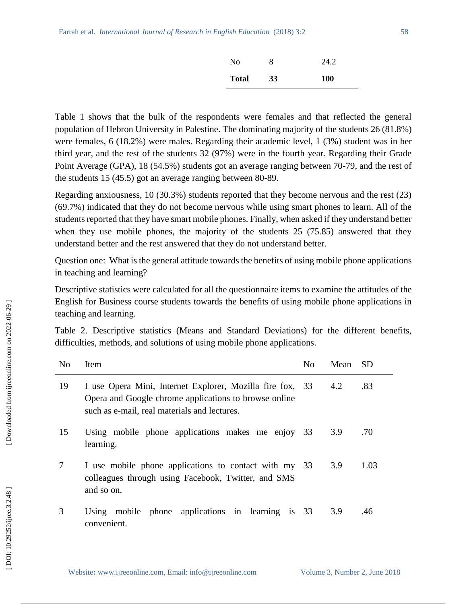| N <sub>0</sub> |    | 24.2       |
|----------------|----|------------|
| <b>Total</b>   | 33 | <b>100</b> |

Table 1 shows that the bulk of the respondents were females and that reflected the general population of Hebron University in Palestine. The dominating majority of the students 26 (81.8%) were females, 6 (18.2%) were males. Regarding their academic level, 1 (3%) student was in her third year, and the rest of the students 32 (97%) were in the fourth year. Regarding their Grade Point Average (GPA), 18 (54.5%) students got an average ranging between 70-79, and the rest of the students 15 (45.5) got an average ranging between 80 -89.

Regarding anxiousness, 10 (30.3%) students reported that they become nervous and the rest (23) (69.7%) indicated that they do not become nervous while using smart phones to learn. All of the students reported that they have smart mobile phones. Finally, when asked if they understand better when they use mobile phones, the majority of the students 25 (75.85) answered that they understand better and the rest answered that they do not understand better.

Question one:What is the general attitude towards the benefits of using mobile phone applications in teaching and learning?

Descriptive statistics were calculated for all the questionnaire items to examine the attitudes of the English for Business course students towards the benefits of using mobile phone applications in teaching and learning.

Table 2. Descriptive statistics (Means and Standard Deviations) for the different benefits, difficulties, methods, and solutions of using mobile phone applications.

| N <sub>0</sub> | <b>Item</b>                                                                                                                                                        | No. | Mean | <b>SD</b> |
|----------------|--------------------------------------------------------------------------------------------------------------------------------------------------------------------|-----|------|-----------|
| 19             | I use Opera Mini, Internet Explorer, Mozilla fire fox, 33<br>Opera and Google chrome applications to browse online<br>such as e-mail, real materials and lectures. |     | 4.2  | .83       |
| 15             | Using mobile phone applications makes me enjoy 33<br>learning.                                                                                                     |     | 3.9  | .70       |
| 7              | I use mobile phone applications to contact with my 33<br>colleagues through using Facebook, Twitter, and SMS<br>and so on.                                         |     | 3.9  | 1.03      |
| 3              | Using mobile phone applications in learning is 33<br>convenient.                                                                                                   |     | 3.9  | .46       |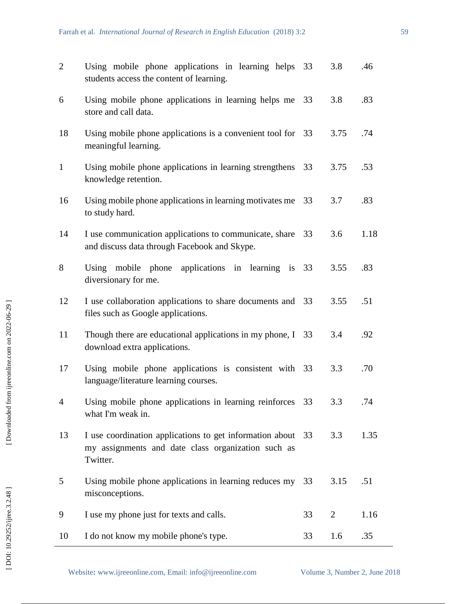| $\overline{2}$ | Using mobile phone applications in learning helps 33<br>students access the content of learning.                           |    | 3.8            | .46  |
|----------------|----------------------------------------------------------------------------------------------------------------------------|----|----------------|------|
| 6              | Using mobile phone applications in learning helps me<br>store and call data.                                               | 33 | 3.8            | .83  |
| 18             | Using mobile phone applications is a convenient tool for 33<br>meaningful learning.                                        |    | 3.75           | .74  |
| $\mathbf{1}$   | Using mobile phone applications in learning strengthens<br>knowledge retention.                                            | 33 | 3.75           | .53  |
| 16             | Using mobile phone applications in learning motivates me<br>to study hard.                                                 | 33 | 3.7            | .83  |
| 14             | I use communication applications to communicate, share<br>and discuss data through Facebook and Skype.                     | 33 | 3.6            | 1.18 |
| 8              | Using mobile phone applications in learning is 33<br>diversionary for me.                                                  |    | 3.55           | .83  |
| 12             | I use collaboration applications to share documents and<br>files such as Google applications.                              | 33 | 3.55           | .51  |
| 11             | Though there are educational applications in my phone, $I$ 33<br>download extra applications.                              |    | 3.4            | .92  |
| 17             | Using mobile phone applications is consistent with 33<br>language/literature learning courses.                             |    | 3.3            | .70  |
| 4              | Using mobile phone applications in learning reinforces 33<br>what I'm weak in.                                             |    | 3.3            | .74  |
| 13             | I use coordination applications to get information about<br>my assignments and date class organization such as<br>Twitter. | 33 | 3.3            | 1.35 |
| 5              | Using mobile phone applications in learning reduces my<br>misconceptions.                                                  | 33 | 3.15           | .51  |
| 9              | I use my phone just for texts and calls.                                                                                   | 33 | $\overline{2}$ | 1.16 |
| 10             | I do not know my mobile phone's type.                                                                                      | 33 | 1.6            | .35  |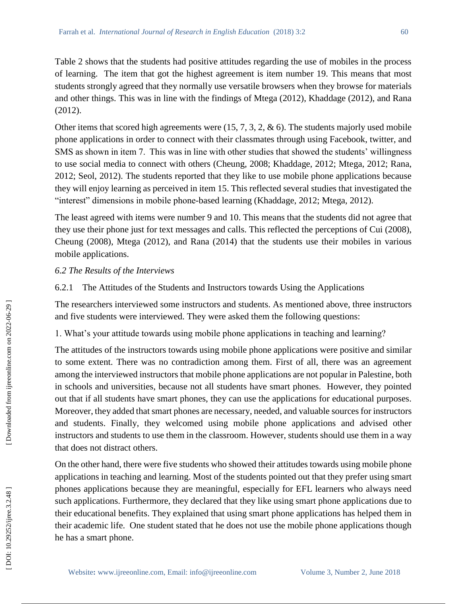Table 2 shows that the students had positive attitudes regarding the use of mobiles in the process of learning. The item that got the highest agreement is item number 19. This means that most students strongly agreed that they normally use versatile browsers when they browse for materials and other things. This was in line with the findings of Mtega (2012), Khaddage (2012), and Rana (2012).

Other items that scored high agreements were (15, 7, 3, 2, & 6). The students majorly used mobile phone applications in order to connect with their classmates through using Facebook, twitter, and SMS as shown in item 7. This was in line with other studies that showed the students' willingness to use social media to connect with others (Cheung, 2008; Khaddage, 2012; Mtega, 2012; Rana, 2012; Seol, 2012). The students reported that they like to use mobile phone applications because they will enjoy learning as perceived in item 15. This reflected several studies that investigated the "interest" dimensions in mobile phone -based learning (Khaddage, 2012; Mtega, 2012).

The least agreed with items were number 9 and 10. This means that the students did not agree that they use their phone just for text messages and calls. This reflected the perceptions of Cui (2008), Cheung (2008), Mtega (2012), and Rana (2014) that the students use their mobiles in various mobile applications.

# *6.2 The Results of the Interviews*

6.2.1 The Attitudes of the Students and Instructors towards Using the Applications

The researchers interviewed some instructors and students. As mentioned above, three instructors and five students were interviewed. They were asked them the following questions:

1. What's your attitude towards using mobile phone applications in teaching and learning?

The attitudes of the instructors towards using mobile phone applications were positive and similar to some extent. There was no contradiction among them. First of all, there was an agreement among the interviewed instructors that mobile phone applications are not popular in Palestine, both in schools and universities, because not all students have smart phones. However, they pointed out that if all students have smart phones, they can use the applications for educational purposes. Moreover, they added that smart phones are necessary, needed, and valuable sources for instructors and students. Finally, they welcomed using mobile phone applications and advised other instructors and students to use them in the classroom. However, students should use them in a way that does not distract others.

On the other hand, there were five students who showed their attitudes towards using mobile phone applications in teaching and learning. Most of the students pointed out that they prefer using smart phones applications because they are meaningful, especially for EFL learners who always need such applications. Furthermore, they declared that they like using smart phone applications due to their educational benefits. They explained that using smart phone applications has helped them in their academic life. One student stated that he does not use the mobile phone applications though he has a smart phone.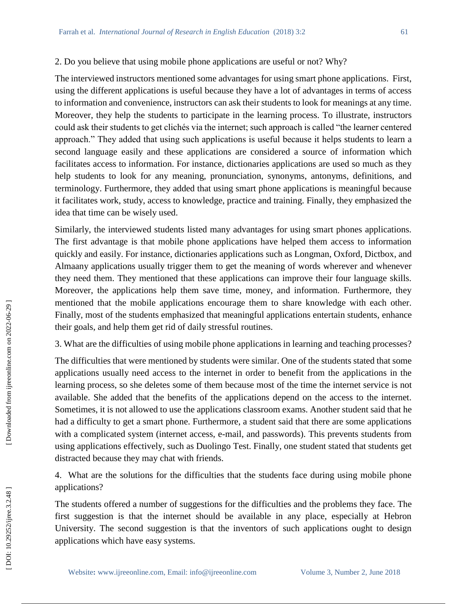### 2. Do you believe that using mobile phone applications are useful or not? Why?

The interviewed instructors mentioned some advantages for using smart phone applications. First, using the different applications is useful because they have a lot of advantages in terms of access to information and convenience, instructors can ask their students to look for meanings at any time. Moreover, they help the students to participate in the learning process. To illustrate, instructors could ask their students to get clichés via the internet; such approach is called "the learner centered approach." They added that using such applications is useful because it helps students to learn a second language easily and these applications are considered a source of information which facilitates access to information. For instance, dictionaries applications are used so much as they help students to look for any meaning, pronunciation, synonyms, antonyms, definitions, and terminology. Furthermore, they added that using smart phone applications is meaningful because it facilitates work, study, access to knowledge, practice and training. Finally, they emphasized the idea that time can be wisely used.

Similarly, the interviewed students listed many advantages for using smart phones applications. The first advantage is that mobile phone applications have helped them access to information quickly and easily. For instance, dictionaries applications such as Longman, Oxford, Dictbox, and Almaany applications usually trigger them to get the meaning of words wherever and whenever they need them. They mentioned that these applications can improve their four language skills. Moreover, the applications help them save time, money, and information. Furthermore, they mentioned that the mobile applications encourage them to share knowledge with each other. Finally, most of the students emphasized that meaningful applications entertain students, enhance their goals, and help them get rid of daily stressful routines.

3. What are the difficulties of using mobile phone applications in learning and teaching processes?

The difficulties that were mentioned by students were similar. One of the students stated that some applications usually need access to the internet in order to benefit from the applications in the learning process, so she deletes some of them because most of the time the internet service is not available. She added that the benefits of the applications depend on the access to the internet. Sometimes, it is not allowed to use the applications classroom exams. Another student said that he had a difficulty to get a smart phone. Furthermore, a student said that there are some applications with a complicated system (internet access, e-mail, and passwords). This prevents students from using applications effectively, such as Duolingo Test. Finally, one student stated that students get distracted because they may chat with friends.

4. What are the solutions for the difficulties that the students face during using mobile phone applications?

The students offered a number of suggestions for the difficulties and the problems they face. The first suggestion is that the internet should be available in any place, especially at Hebron University. The second suggestion is that the inventors of such applications ought to design applications which have easy systems.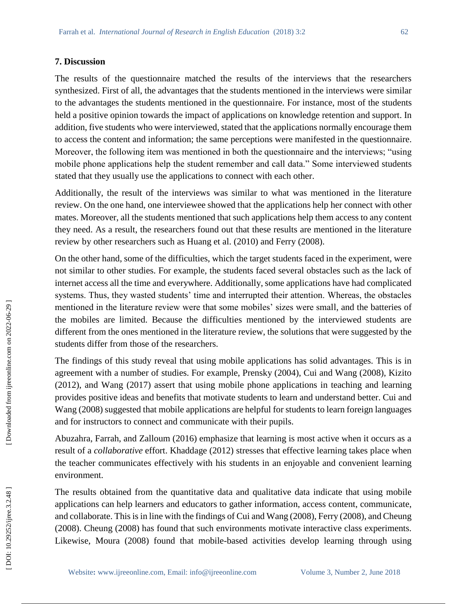#### **7. Discussion**

The results of the questionnaire matched the results of the interviews that the researchers synthesized. First of all, the advantages that the students mentioned in the interviews were similar to the advantages the students mentioned in the questionnaire. For instance, most of the students held a positive opinion towards the impact of applications on knowledge retention and support. In addition, five students who were interviewed, stated that the applications normally encourage them to access the content and information; the same perceptions were manifested in the questionnaire. Moreover, the following item was mentioned in both the questionnaire and the interviews; "using mobile phone applications help the student remember and call data." Some interviewed students stated that they usually use the applications to connect with each other.

Additionally, the result of the interviews was similar to what was mentioned in the literature review. On the one hand, one interviewee showed that the applications help her connect with other mates. Moreover, all the students mentioned that such applications help them access to any content they need. As a result, the researchers found out that these results are mentioned in the literature review by other researchers such as Huang et al. (2010) and Ferry (2008).

On the other hand, some of the difficulties, which the target students faced in the experiment, were not similar to other studies. For example, the students faced several obstacles such as the lack of internet access all the time and everywhere. Additionally, some applications have had complicated systems. Thus, they wasted students' time and interrupted their attention. Whereas, the obstacles mentioned in the literature review were that some mobiles' sizes were small, and the batteries of the mobiles are limited. Because the difficulties mentioned by the interviewed students are different from the ones mentioned in the literature review, the solutions that were suggested by the students differ from those of the researchers.

The findings of this study reveal that using mobile applications has solid advantages. This is in agreement with a number of studies. For example, Prensky (2004), Cui and Wang (2008), Kizito (2012), and Wang (2017) assert that using mobile phone applications in teaching and learning provides positive ideas and benefits that motivate students to learn and understand better. Cui and Wang (2008) suggested that mobile applications are helpful for students to learn foreign languages and for instructors to connect and communicate with their pupils.

Abuzahra, Farrah, and Zalloum (2016) emphasize that learning is most active when it occurs as a result of a *collaborative* effort. Khaddage (2012) stresses that effective learning takes place when the teacher communicates effectively with his students in an enjoyable and convenient learning environment.

The results obtained from the quantitative data and qualitative data indicate that using mobile applications can help learners and educators to gather information, access content, communicate, and collaborate. This is in line with the findings of Cui and Wang (2008), Ferry (2008), and Cheung (2008). Cheung (2008) has found that such environments motivate interactive class experiments. Likewise, Moura (2008) found that mobile -based activities develop learning through using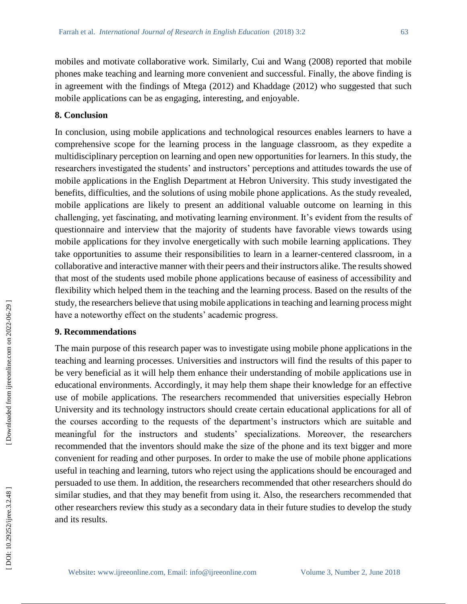mobiles and motivate collaborative work. Similarly, Cui and Wang (2008) reported that mobile phones make teaching and learning more convenient and successful. Finally, the above finding is in agreement with the findings of Mtega (2012) and Khaddage (2012) who suggested that such mobile applications can be as engaging, interesting, and enjoyable.

## **8. Conclusion**

In conclusion, using mobile applications and technological resources enables learners to have a comprehensive scope for the learning process in the language classroom, as they expedite a multidisciplinary perception on learning and open new opportunities for learners. In this study, the researchers investigated the students' and instructors' perceptions and attitudes towards the use of mobile applications in the English Department at Hebron University. This study investigated the benefits, difficulties, and the solutions of using mobile phone applications. As the study revealed, mobile applications are likely to present an additional valuable outcome on learning in this challenging, yet fascinating, and motivating learning environment. It's evident from the results of questionnaire and interview that the majority of students have favorable views towards using mobile applications for they involve energetically with such mobile learning applications. They take opportunities to assume their responsibilities to learn in a learner -centered classroom, in a collaborative and interactive manner with their peers and their instructors alike. The results showed that most of the students used mobile phone applications because of easiness of accessibility and flexibility which helped them in the teaching and the learning process. Based on the results of the study, the researchers believe that using mobile applications in teaching and learning process might have a noteworthy effect on the students' academic progress.

# **9. Recommendations**

The main purpose of this research paper was to investigate using mobile phone applications in the teaching and learning processes. Universities and instructors will find the results of this paper to be very beneficial as it will help them enhance their understanding of mobile applications use in educational environments. Accordingly, it may help them shape their knowledge for an effective use of mobile applications. The researchers recommended that universities especially Hebron University and its technology instructors should create certain educational applications for all of the courses according to the requests of the department's instructors which are suitable and meaningful for the instructors and students' specializations. Moreover, the researchers recommended that the inventors should make the size of the phone and its text bigger and more convenient for reading and other purposes. In order to make the use of mobile phone applications useful in teaching and learning, tutors who reject using the applications should be encouraged and persuaded to use them. In addition, the researchers recommended that other researchers should do similar studies, and that they may benefit from using it. Also, the researchers recommended that other researchers review this study as a secondary data in their future studies to develop the study and its results.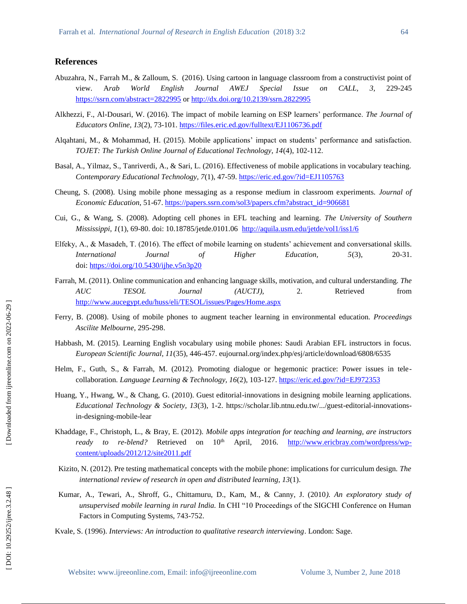#### **References**

- Abuzahra, N., Farrah M., & Zalloum, S. (2016). Using cartoon in language classroom from a constructivist point of view. A*rab World English Journal AWEJ Special Issue on CALL, 3,* 229 229-245 <https://ssrn.com/abstract=2822995> or [http://dx.doi.org/10.2139/ssrn.2822995](https://dx.doi.org/10.2139/ssrn.2822995)
- Alkhezzi, F., Al -Dousari, W. (2016). The impact of mobile learning on ESP learners' performance. *The Journal of Educators Online, 13*(2), 73 -101.<https://files.eric.ed.gov/fulltext/EJ1106736.pdf>
- Alqahtani, M., & Mohammad, H. (2015). Mobile applications' impact on students' performance and satisfaction. *TOJET: The Turkish Online Journal of Educational Technology, 14*(4), 102 -112.
- Basal, A., Yilmaz, S., Tanriverdi, A., & Sari, L. (2016). Effectiveness of mobile applications in vocabulary teaching. *Contemporary Educational Technology, 7*(1), 47 -59.<https://eric.ed.gov/?id=EJ1105763>
- Cheung, S. (2008). Using mobile phone messaging as a response medium in classroom experiments. *Journal of*  Economic Education, 51-67. [https://papers.ssrn.com/sol3/papers.cfm?abstract\\_id=906681](https://papers.ssrn.com/sol3/papers.cfm?abstract_id=906681)
- Cui, G., & Wang, S. (2008). Adopting cell phones in EFL teaching and learning*. The University of Southern Mississippi*, *1*(1), 69 -80. doi: 10.18785/jetde.0101.06 <http://aquila.usm.edu/jetde/vol1/iss1/6>
- Elfeky, A., & Masadeh, T. (2016). The effect of mobile learning on students' achievement and conversational skills. *International Journal of Higher Education,* 5(3), 20-31. doi:<https://doi.org/10.5430/ijhe.v5n3p20>
- Farrah, M. (2011). Online communication and enhancing language skills, motivation, and cultural understanding. *The AUC TESOL Journal (AUCTJ),* 2. Retrieved from <http://www.aucegypt.edu/huss/eli/TESOL/issues/Pages/Home.aspx>
- Ferry, B. (2008). Using of mobile phones to augment teacher learning in environmental education. *Proceedings Ascilite Melbourne*, 295 -298.
- Habbash, M. (2015). Learning English vocabulary using mobile phones: Saudi Arabian EFL instructors in focus. *European Scientific Journal, 11*(35), 446 -457. eujournal.org/index.php/esj/article/download/6808/6535
- Helm, F., Guth, S., & Farrah, M. (2012). Promoting dialogue or hegemonic practice: Power issues in tele collaboration. *Language Learning & Technology, 16*(2), 103 *-*127[. https://eric.ed.gov/?id=EJ972353](https://eric.ed.gov/?id=EJ972353)
- Huang, Y., Hwang, W., & Chang, G. (2010). Guest editorial -innovations in designing mobile learning applications. Educational Technology & Society, 13(3), 1-2. https://scholar.lib.ntnu.edu.tw/.../guest-editorial-innovationsin -designing -mobile -lear
- Khaddage, F., Christoph, L., & Bray, E. (2012). *Mobile apps integration for teaching and learning, are instructors ready to re* -blend? Retrieved on  $10<sup>th</sup>$  April, 2016. [http://www.ericbray.com/wordpress/wp](http://www.ericbray.com/wordpress/wp-content/uploads/2012/12/site2011.pdf)[content/uploads/2012/12/site2011.pdf](http://www.ericbray.com/wordpress/wp-content/uploads/2012/12/site2011.pdf)
- Kizito, N. (2012). Pre testing mathematical concepts with the mobile phone: implications for curriculum design. *The international review of research in open and distributed learning, 13*(1).
- Kumar, A., Tewari, A., Shroff, G., Chittamuru, D., Kam, M., & Canny, J. (2010*). An exploratory study of unsupervised mobile learning in rural India.* In CHI "10 Proceedings of the SIGCHI Conference on Human Factors in Computing Systems, 743 -752.
- Kvale, S. (1996). *Interviews: An introduction to qualitative research interviewing*. London: Sage.

[Downloaded from ijreeonline.com on 2022-06-29]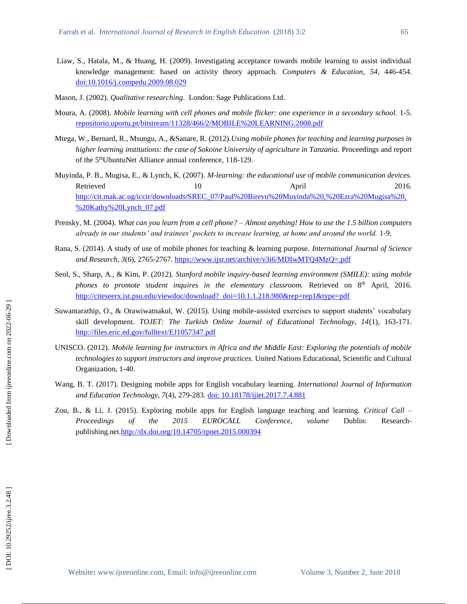- Liaw, S., Hatala, M., & Huang, H. (2009). Investigating acceptance towards mobile learning to assist individual knowledge management: based on activity theory approach*. Computers & Education*, *54*, 446 -454. [doi:10.1016/j.compedu.2009.08.029](http://dx.doi.org/10.1016/j.compedu.2009.08.029)
- Mason, J. (2002). *Qualitative researching*. London: Sage Publications Ltd.
- Moura, A. (2008). *Mobile learning with cell phones and mobile flicker: one experience in a secondary school.* 1 -5. [repositorio.uportu.pt/bitstream/11328/466/2/MOBILE%20LEARNING.2008.pdf](http://repositorio.uportu.pt/bitstream/11328/466/2/MOBILE%20LEARNING.2008.pdf)
- Mtega, W., Bernard, R., Msungu, A., &Sanare, R. (2012).*Using mobile phones for teaching and learning purposes in higher learning institutions: the case of Sokoine University of agriculture in Tanzania.* Proceedings and report of the 5<sup>th</sup>UbuntuNet Alliance annual conference, 118-129.
- Muyinda, P. B., Mugisa, E., & Lynch, K. (2007). *M -learning: the educational use of mobile communication devices.* Retrieved 10 10 April 2016. [http://cit.mak.ac.ug/iccir/downloads/SREC\\_07/Paul%20Birevu%20Muyinda%20,%20Ezra%20Mugisa%20,](http://cit.mak.ac.ug/iccir/downloads/SREC_07/Paul%20Birevu%20Muyinda%20,%20Ezra%20Mugisa%20,%20Kathy%20Lynch_07.pdf) [%20Kathy%20Lynch\\_07.pdf](http://cit.mak.ac.ug/iccir/downloads/SREC_07/Paul%20Birevu%20Muyinda%20,%20Ezra%20Mugisa%20,%20Kathy%20Lynch_07.pdf)
- Prensky, M. (2004). *What can you learn from a cell phone? – Almost anything! How to use the 1.5 billion computers*  already in our students' and trainees' pockets to increase learning, at home and around the world. 1-9.
- Rana, S. (2014). A study of use of mobile phones for teaching & learning purpose. *International Journal of Science and Research, 3*(6), 2765 -2767.<https://www.ijsr.net/archive/v3i6/MDIwMTQ4MzQ=.pdf>
- Seol, S., Sharp, A., & Kim, P. (2012). *Stanford mobile inquiry -based learning environment (SMILE): using mobile*  phones to promote student inquires in the elementary classroom. Retrieved on 8<sup>th</sup> April, 2016. [http://citeseerx.ist.psu.edu/viewdoc/download? doi=10.1.1.218.980&rep=rep1&type=pdf](http://citeseerx.ist.psu.edu/viewdoc/download?%20%20doi=10.1.1.218.980&rep=rep1&type=pdf)
- Suwantarathip, O., & Orawiwatnakul, W. (2015). Using mobile -assisted exercises to support students' vocabulary skill development. *TOJET: The Turkish Online Journal of Educational Technology, 14*(1), 163 -171. [http://files.eric.ed.gov/fulltext/EJ1057347.pdf](https://scu.rl.talis.com/link?url=http%3A%2F%2Ffiles.eric.ed.gov%2Ffulltext%2FEJ1057347.pdf&sig=f86538abb06b88ac325eeb87aa2e3848cdfbdacf0f5f4e8fa9bc88720743a944)
- UNISCO. (2012). *Mobile learning for instructors in Africa and the Middle East: Exploring the potentials of mobile technologies to support instructors and improve practices.* United Nations Educational, Scientific and Cultural Organization, 1 -40.
- Wang, B. T. (2017). Designing mobile apps for English vocabulary learning. *International Journal of Information and Education Technology, 7*(4), 279 -283. [doi: 10.18178/ijiet.2017.7.4.881](http://www.ijiet.org/show-86-996-1.html)
- Zou, B., & Li, J. (2015). Exploring mobile apps for English language teaching and learning. *Critical Call – Proceedings of the 2015 EUROCALL Conference, volume* Dublin: Research Researchpublishing.net[.http://dx.doi.org/10.14705/rpnet.2015.000394](http://dx.doi.org/10.14705/rpnet.2015.000394)

DOI: 10.29252/ijree.3.2.48]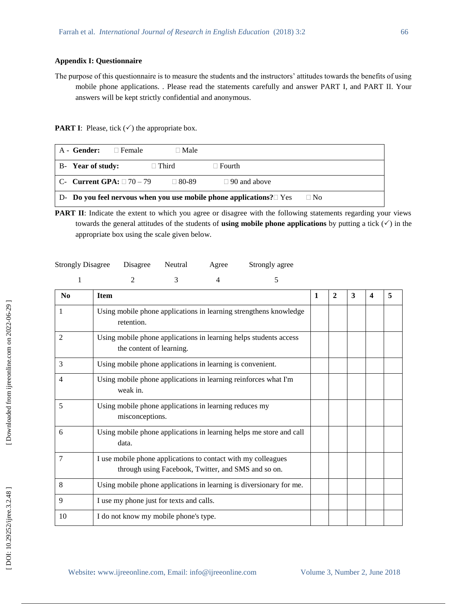#### **Appendix I: Questionnaire**

The purpose of this questionnaire is to measure the students and the instructors' attitudes towards the benefits of using mobile phone applications. . Please read the statements carefully and answer PART I, and PART II. Your answers will be kept strictly confidential and anonymous.

**PART I**: Please, tick  $(\checkmark)$  the appropriate box.

| A - Gender:                      | $\Box$ Female | $\Box$ Male  |                                                                                    |           |
|----------------------------------|---------------|--------------|------------------------------------------------------------------------------------|-----------|
| B-Year of study:                 |               | $\Box$ Third | $\Box$ Fourth                                                                      |           |
| $C-$ Current GPA: $\Box$ 70 – 79 |               | $\Box$ 80-89 | $\Box$ 90 and above                                                                |           |
|                                  |               |              | $\vert$ D- Do you feel nervous when you use mobile phone applications? $\vert$ Yes | $\Box$ No |

**PART II**: Indicate the extent to which you agree or disagree with the following statements regarding your views towards the general attitudes of the students of **using mobile phone applications** by putting a tick  $(\checkmark)$  in the appropriate box using the scale given below.

| <b>Strongly Disagree</b> | Disagree | Neutral | Agree | Strongly agree |
|--------------------------|----------|---------|-------|----------------|
|--------------------------|----------|---------|-------|----------------|

|                | 2<br>5<br>3<br>4                                                                                                     |   |              |   |   |   |
|----------------|----------------------------------------------------------------------------------------------------------------------|---|--------------|---|---|---|
| N <sub>0</sub> | <b>Item</b>                                                                                                          | 1 | $\mathbf{2}$ | 3 | 4 | 5 |
| 1              | Using mobile phone applications in learning strengthens knowledge<br>retention.                                      |   |              |   |   |   |
| 2              | Using mobile phone applications in learning helps students access<br>the content of learning.                        |   |              |   |   |   |
| 3              | Using mobile phone applications in learning is convenient.                                                           |   |              |   |   |   |
| 4              | Using mobile phone applications in learning reinforces what I'm<br>weak in.                                          |   |              |   |   |   |
| 5              | Using mobile phone applications in learning reduces my<br>misconceptions.                                            |   |              |   |   |   |
| 6              | Using mobile phone applications in learning helps me store and call<br>data.                                         |   |              |   |   |   |
| 7              | I use mobile phone applications to contact with my colleagues<br>through using Facebook, Twitter, and SMS and so on. |   |              |   |   |   |
| 8              | Using mobile phone applications in learning is diversionary for me.                                                  |   |              |   |   |   |
| 9              | I use my phone just for texts and calls.                                                                             |   |              |   |   |   |
| 10             | I do not know my mobile phone's type.                                                                                |   |              |   |   |   |

[Downloaded from ijreeonline.com on 2022-06-29]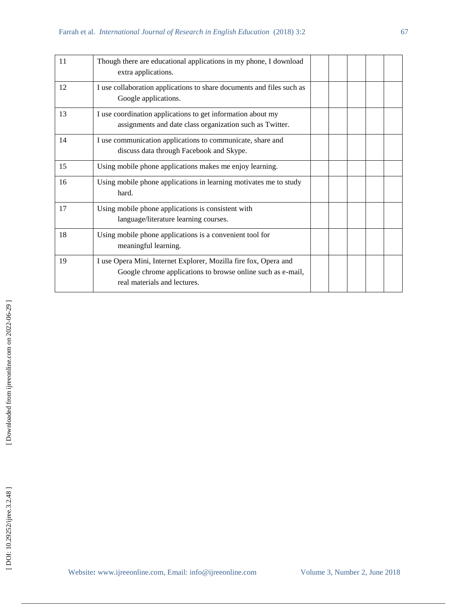| 11 | Though there are educational applications in my phone, I download<br>extra applications.                                                                        |  |  |  |
|----|-----------------------------------------------------------------------------------------------------------------------------------------------------------------|--|--|--|
| 12 | I use collaboration applications to share documents and files such as<br>Google applications.                                                                   |  |  |  |
| 13 | I use coordination applications to get information about my<br>assignments and date class organization such as Twitter.                                         |  |  |  |
| 14 | I use communication applications to communicate, share and<br>discuss data through Facebook and Skype.                                                          |  |  |  |
| 15 | Using mobile phone applications makes me enjoy learning.                                                                                                        |  |  |  |
| 16 | Using mobile phone applications in learning motivates me to study<br>hard.                                                                                      |  |  |  |
| 17 | Using mobile phone applications is consistent with<br>language/literature learning courses.                                                                     |  |  |  |
| 18 | Using mobile phone applications is a convenient tool for<br>meaningful learning.                                                                                |  |  |  |
| 19 | I use Opera Mini, Internet Explorer, Mozilla fire fox, Opera and<br>Google chrome applications to browse online such as e-mail,<br>real materials and lectures. |  |  |  |